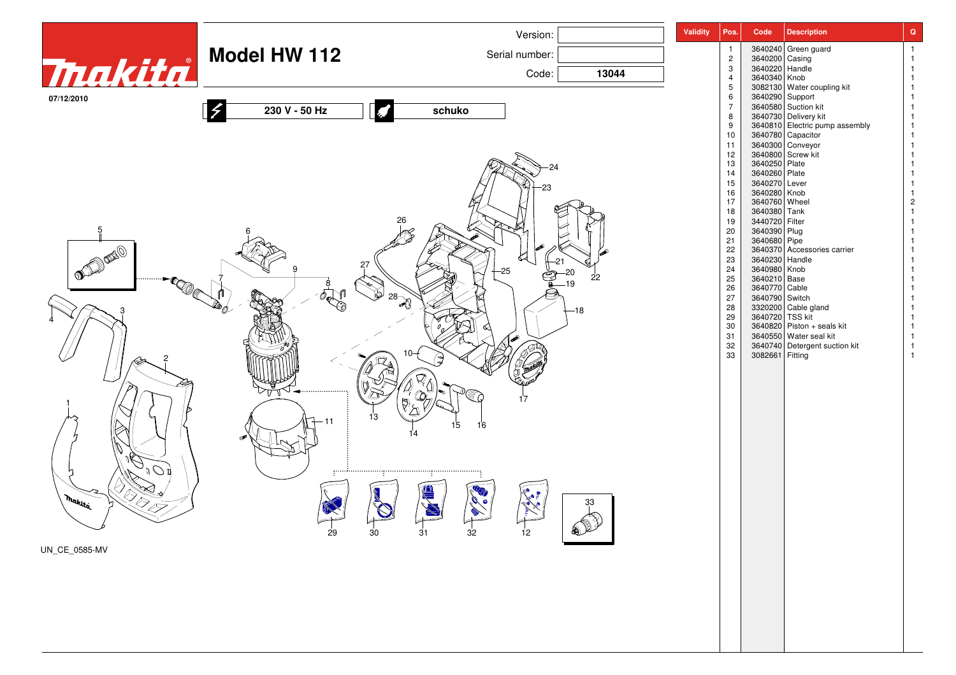|                           |                     | Version:                          |              | <b>Validity</b><br>Pos.        | Code                            | <b>Description</b>                                                                                         | $\mathbf Q$                    |
|---------------------------|---------------------|-----------------------------------|--------------|--------------------------------|---------------------------------|------------------------------------------------------------------------------------------------------------|--------------------------------|
|                           | <b>Model HW 112</b> | Serial number:                    |              | $\mathbf{1}$<br>$\overline{2}$ |                                 | 3640240 Green guard<br>3640200 Casing                                                                      | $\overline{1}$<br>$\mathbf{1}$ |
| Thakita                   |                     | Code:                             | 13044        | $\mathbf{3}$                   | 3640220 Handle                  |                                                                                                            |                                |
|                           |                     |                                   |              | $\overline{4}$<br>$\,$ 5 $\,$  |                                 | 3640340 Knob<br>3082130 Water coupling kit                                                                 |                                |
| 07/12/2010                | 230 V - 50 Hz       | schuko                            |              | $\,6\,$<br>$\overline{7}$      |                                 | 3640290 Support                                                                                            |                                |
|                           |                     |                                   |              | 8<br>9                         |                                 | 3640580<br>Se40580<br>Se40730<br>Delivery kit<br>3640810<br>Electric pump assembly<br>3640780<br>Capacitor |                                |
|                           |                     |                                   |              | 10                             |                                 |                                                                                                            |                                |
|                           |                     |                                   |              | 11<br>12                       |                                 | 3640300<br>3640800<br>3640250 Plate                                                                        | -1<br>-1                       |
|                           |                     |                                   |              | $13\,$<br>14                   | 3640260 Plate                   |                                                                                                            | -1                             |
|                           |                     |                                   |              | 15                             | 3640270 Lever                   |                                                                                                            | -1                             |
|                           |                     |                                   |              | 16<br>17                       | 3640280 Knob<br>3640760 Wheel   |                                                                                                            | $\overline{2}$                 |
|                           |                     |                                   |              | 18<br>19                       | 3640380 Tank<br>3440720 Filter  |                                                                                                            |                                |
| 5                         |                     |                                   |              | 20                             | 3640390 Plug                    |                                                                                                            |                                |
| <b>DEPERTED</b>           |                     |                                   |              | 21<br>22                       | 3640680 Pipe                    | 3640370 Accessories carrier                                                                                |                                |
|                           |                     |                                   |              | 23<br>24                       | 3640230 Handle<br>3640980 Knob  |                                                                                                            |                                |
| $-1$                      |                     | $-25$                             | 22<br>19     | 25                             | 3640210 Base                    |                                                                                                            | -1                             |
|                           |                     | $28 - 28$                         |              | 26<br>27                       | 3640770 Cable<br>3640790 Switch |                                                                                                            |                                |
|                           |                     |                                   | -18          | 28<br>29                       |                                 | 3320200 Cable gland<br>3640720 TSS kit                                                                     |                                |
|                           |                     |                                   |              | 30                             |                                 | 3640820 Piston + seals kit                                                                                 |                                |
|                           |                     |                                   |              | 31<br>32                       |                                 | 3640550 Water seal kit<br>3640740 Detergent suction kit                                                    |                                |
|                           |                     |                                   |              | 33                             | 3082661 Fitting                 |                                                                                                            | -1                             |
|                           |                     |                                   |              |                                |                                 |                                                                                                            |                                |
|                           |                     | 17                                |              |                                |                                 |                                                                                                            |                                |
|                           |                     |                                   |              |                                |                                 |                                                                                                            |                                |
|                           | 11                  | 13<br>15<br>16                    |              |                                |                                 |                                                                                                            |                                |
|                           |                     |                                   |              |                                |                                 |                                                                                                            |                                |
|                           |                     |                                   |              |                                |                                 |                                                                                                            |                                |
| $\cdot$ $\mathcal{O}$ r   |                     |                                   |              |                                |                                 |                                                                                                            |                                |
|                           |                     |                                   |              |                                |                                 |                                                                                                            |                                |
| DR S<br>. Makita          |                     |                                   | 33           |                                |                                 |                                                                                                            |                                |
| $\widetilde{\phantom{a}}$ |                     |                                   | $\mathbb{P}$ |                                |                                 |                                                                                                            |                                |
|                           | 29                  | 30 <sub>o</sub><br>31<br>32<br>12 |              |                                |                                 |                                                                                                            |                                |
| UN_CE_0585-MV             |                     |                                   |              |                                |                                 |                                                                                                            |                                |
|                           |                     |                                   |              |                                |                                 |                                                                                                            |                                |
|                           |                     |                                   |              |                                |                                 |                                                                                                            |                                |
|                           |                     |                                   |              |                                |                                 |                                                                                                            |                                |
|                           |                     |                                   |              |                                |                                 |                                                                                                            |                                |
|                           |                     |                                   |              |                                |                                 |                                                                                                            |                                |
|                           |                     |                                   |              |                                |                                 |                                                                                                            |                                |